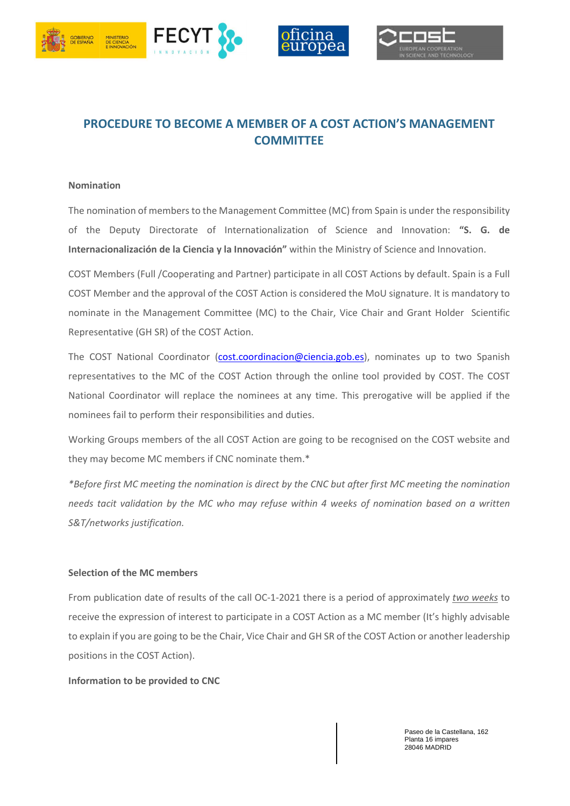





# **PROCEDURE TO BECOME A MEMBER OF A COST ACTION'S MANAGEMENT COMMITTEE**

#### **Nomination**

The nomination of members to the Management Committee (MC) from Spain is under the responsibility of the Deputy Directorate of Internationalization of Science and Innovation: **"S. G. de Internacionalización de la Ciencia y la Innovación"** within the Ministry of Science and Innovation.

COST Members (Full /Cooperating and Partner) participate in all COST Actions by default. Spain is a Full COST Member and the approval of the COST Action is considered the MoU signature. It is mandatory to nominate in the Management Committee (MC) to the Chair, Vice Chair and Grant Holder Scientific Representative (GH SR) of the COST Action.

The COST National Coordinator (cost.coordinacion@ciencia.gob.es), nominates up to two Spanish representatives to the MC of the COST Action through the online tool provided by COST. The COST National Coordinator will replace the nominees at any time. This prerogative will be applied if the nominees fail to perform their responsibilities and duties.

Working Groups members of the all COST Action are going to be recognised on the COST website and they may become MC members if CNC nominate them.\*

*\*Before first MC meeting the nomination is direct by the CNC but after first MC meeting the nomination needs tacit validation by the MC who may refuse within 4 weeks of nomination based on a written S&T/networks justification.* 

### **Selection of the MC members**

From publication date of results of the call OC-1-2021 there is a period of approximately *two weeks* to receive the expression of interest to participate in a COST Action as a MC member (It's highly advisable to explain if you are going to be the Chair, Vice Chair and GH SR of the COST Action or another leadership positions in the COST Action).

#### **Information to be provided to CNC**

Paseo de la Castellana, 162 Planta 16 impares 28046 MADRID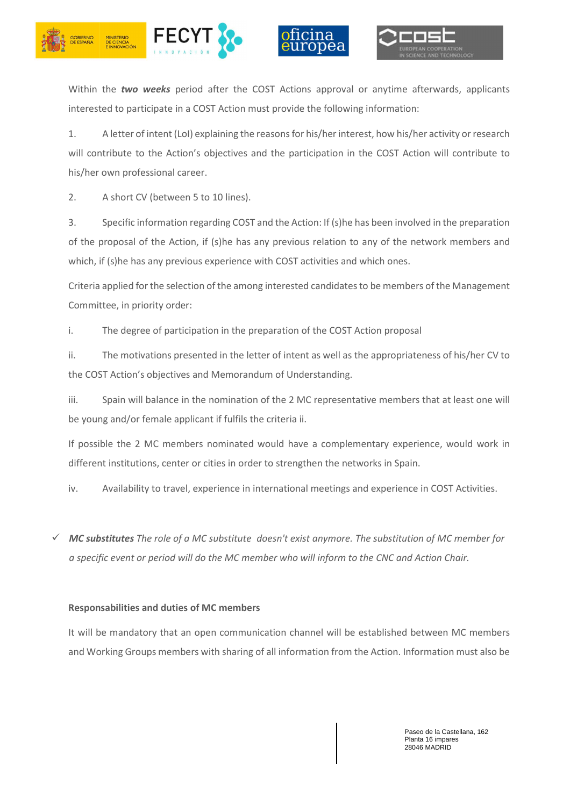





Within the *two weeks* period after the COST Actions approval or anytime afterwards, applicants interested to participate in a COST Action must provide the following information:

1. A letter of intent (LoI) explaining the reasons for his/her interest, how his/her activity or research will contribute to the Action's objectives and the participation in the COST Action will contribute to his/her own professional career.

2. A short CV (between 5 to 10 lines).

3. Specific information regarding COST and the Action: If (s)he has been involved in the preparation of the proposal of the Action, if (s)he has any previous relation to any of the network members and which, if (s)he has any previous experience with COST activities and which ones.

Criteria applied for the selection of the among interested candidates to be members of the Management Committee, in priority order:

i. The degree of participation in the preparation of the COST Action proposal

ii. The motivations presented in the letter of intent as well as the appropriateness of his/her CV to the COST Action's objectives and Memorandum of Understanding.

iii. Spain will balance in the nomination of the 2 MC representative members that at least one will be young and/or female applicant if fulfils the criteria ii.

If possible the 2 MC members nominated would have a complementary experience, would work in different institutions, center or cities in order to strengthen the networks in Spain.

iv. Availability to travel, experience in international meetings and experience in COST Activities.

 *MC substitutes The role of a MC substitute doesn't exist anymore. The substitution of MC member for a specific event or period will do the MC member who will inform to the CNC and Action Chair.* 

## **Responsabilities and duties of MC members**

It will be mandatory that an open communication channel will be established between MC members and Working Groups members with sharing of all information from the Action. Information must also be